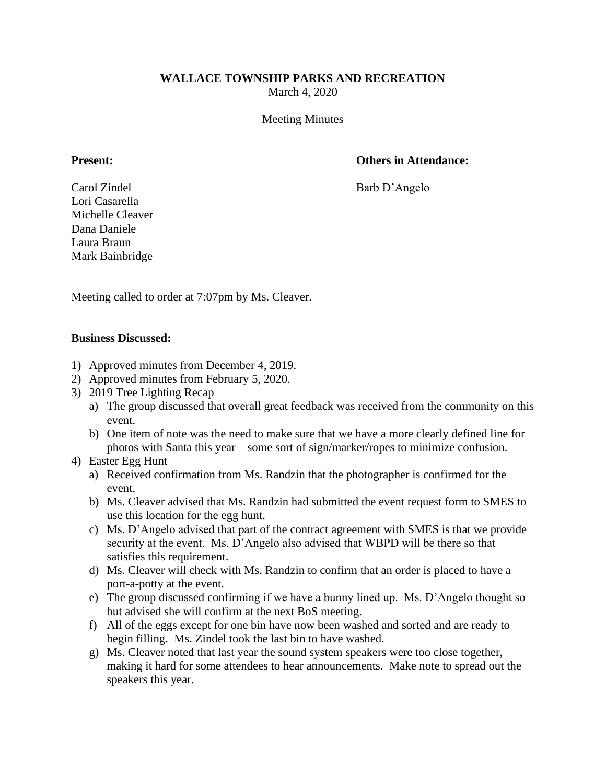## **WALLACE TOWNSHIP PARKS AND RECREATION**

March 4, 2020

Meeting Minutes

# **Present: Others in Attendance:**

Carol Zindel Barb D'Angelo Lori Casarella Michelle Cleaver Dana Daniele Laura Braun Mark Bainbridge

Meeting called to order at 7:07pm by Ms. Cleaver.

## **Business Discussed:**

- 1) Approved minutes from December 4, 2019.
- 2) Approved minutes from February 5, 2020.
- 3) 2019 Tree Lighting Recap
	- a) The group discussed that overall great feedback was received from the community on this event.
	- b) One item of note was the need to make sure that we have a more clearly defined line for photos with Santa this year – some sort of sign/marker/ropes to minimize confusion.
- 4) Easter Egg Hunt
	- a) Received confirmation from Ms. Randzin that the photographer is confirmed for the event.
	- b) Ms. Cleaver advised that Ms. Randzin had submitted the event request form to SMES to use this location for the egg hunt.
	- c) Ms. D'Angelo advised that part of the contract agreement with SMES is that we provide security at the event. Ms. D'Angelo also advised that WBPD will be there so that satisfies this requirement.
	- d) Ms. Cleaver will check with Ms. Randzin to confirm that an order is placed to have a port-a-potty at the event.
	- e) The group discussed confirming if we have a bunny lined up. Ms. D'Angelo thought so but advised she will confirm at the next BoS meeting.
	- f) All of the eggs except for one bin have now been washed and sorted and are ready to begin filling. Ms. Zindel took the last bin to have washed.
	- g) Ms. Cleaver noted that last year the sound system speakers were too close together, making it hard for some attendees to hear announcements. Make note to spread out the speakers this year.